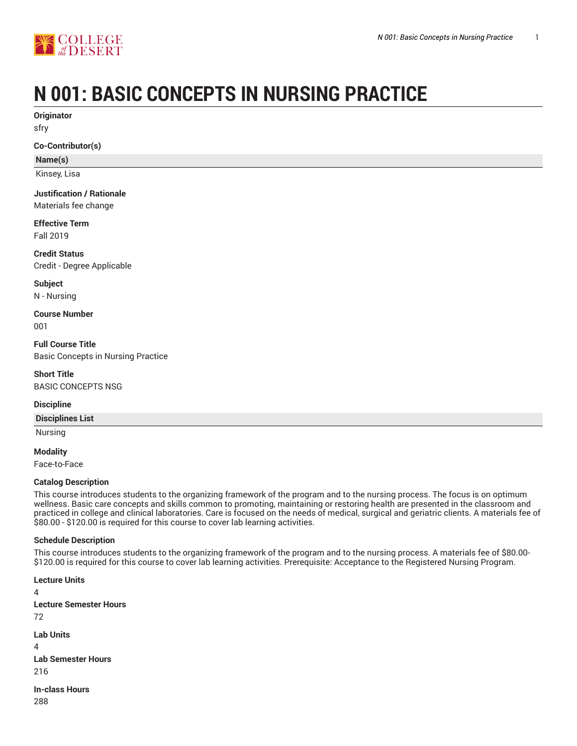

# **N 001: BASIC CONCEPTS IN NURSING PRACTICE**

**Originator**

sfry

#### **Co-Contributor(s)**

**Name(s)**

Kinsey, Lisa

## **Justification / Rationale**

Materials fee change

#### **Effective Term** Fall 2019

**Credit Status** Credit - Degree Applicable

**Subject**

N - Nursing

**Course Number** 001

**Full Course Title** Basic Concepts in Nursing Practice

**Short Title** BASIC CONCEPTS NSG

#### **Discipline**

**Disciplines List**

Nursing

**Modality** Face-to-Face

#### **Catalog Description**

This course introduces students to the organizing framework of the program and to the nursing process. The focus is on optimum wellness. Basic care concepts and skills common to promoting, maintaining or restoring health are presented in the classroom and practiced in college and clinical laboratories. Care is focused on the needs of medical, surgical and geriatric clients. A materials fee of \$80.00 - \$120.00 is required for this course to cover lab learning activities.

#### **Schedule Description**

This course introduces students to the organizing framework of the program and to the nursing process. A materials fee of \$80.00- \$120.00 is required for this course to cover lab learning activities. Prerequisite: Acceptance to the Registered Nursing Program.

**Lecture Units** 4 **Lecture Semester Hours** 72 **Lab Units** 4 **Lab Semester Hours** 216 **In-class Hours** 288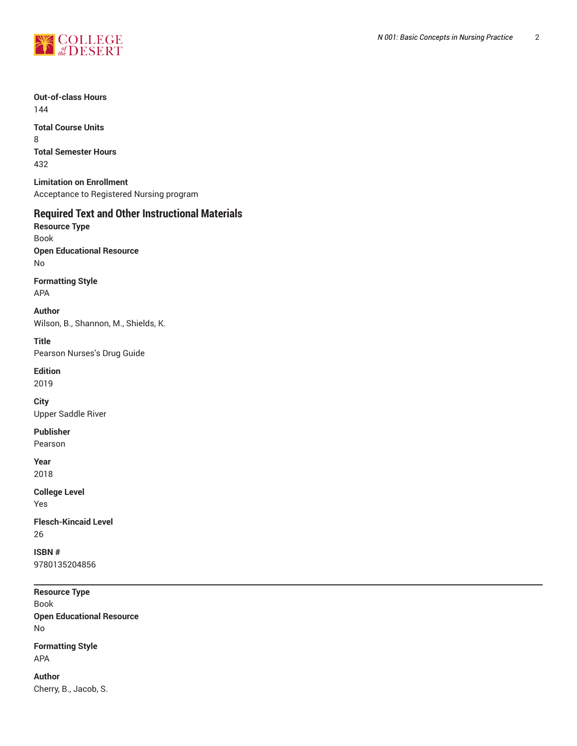

#### **Out-of-class Hours** 144

**Total Course Units** 8 **Total Semester Hours** 432

**Limitation on Enrollment** Acceptance to Registered Nursing program

## **Required Text and Other Instructional Materials**

**Resource Type** Book **Open Educational Resource** No

**Formatting Style** APA

**Author**

Wilson, B., Shannon, M., Shields, K.

**Title**

Pearson Nurses's Drug Guide

**Edition** 2019

**City** Upper Saddle River

**Publisher** Pearson

**Year** 2018

**College Level** Yes

**Flesch-Kincaid Level** 26

**ISBN #** 9780135204856

**Resource Type** Book **Open Educational Resource** No

**Formatting Style** APA

**Author** Cherry, B., Jacob, S.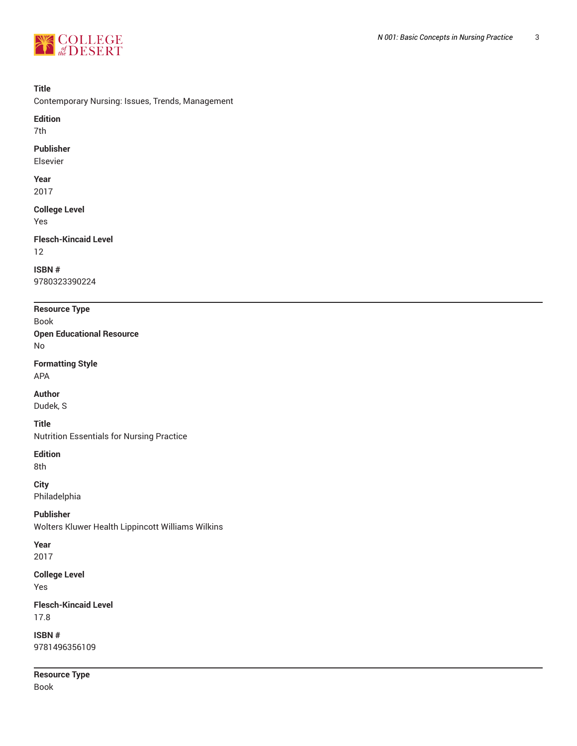

#### **Title**

Contemporary Nursing: Issues, Trends, Management

#### **Edition**

7th

### **Publisher**

Elsevier

## **Year**

2017

## **College Level**

Yes

## **Flesch-Kincaid Level**

12

#### **ISBN #** 9780323390224

## **Resource Type**

Book **Open Educational Resource** No

### **Formatting Style**

APA

### **Author**

Dudek, S

#### **Title**

Nutrition Essentials for Nursing Practice

#### **Edition**

8th

## **City**

Philadelphia

## **Publisher**

Wolters Kluwer Health Lippincott Williams Wilkins

#### **Year** 2017

**College Level** Yes

## **Flesch-Kincaid Level** 17.8

**ISBN #** 9781496356109

**Resource Type** Book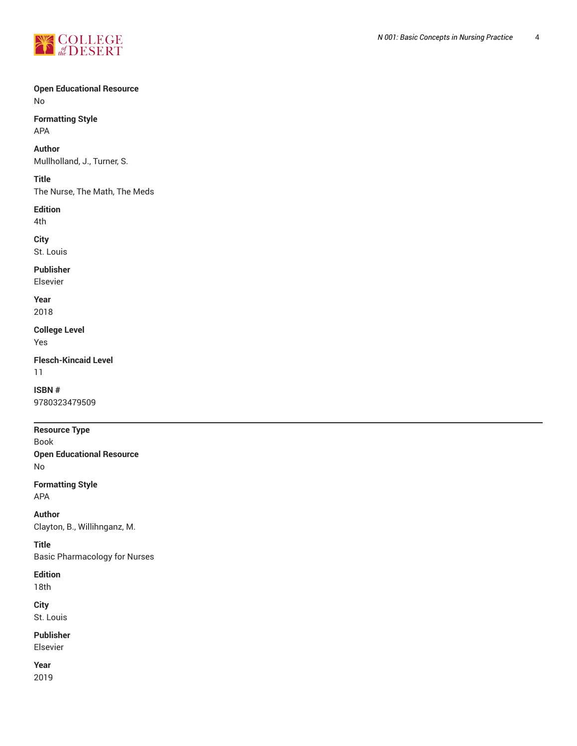

#### **Open Educational Resource** No

**Formatting Style** APA

#### **Author**

Mullholland, J., Turner, S.

#### **Title**

The Nurse, The Math, The Meds

#### **Edition**

4th

#### **City**

St. Louis

## **Publisher**

Elsevier

#### **Year** 2018

**College Level** Yes

## **Flesch-Kincaid Level**

11

**ISBN #** 9780323479509

#### **Resource Type**

Book **Open Educational Resource** No

**Formatting Style** APA

**Author** Clayton, B., Willihnganz, M.

### **Title** Basic Pharmacology for Nurses

**Edition** 18th

**City** St. Louis

**Publisher**

## Elsevier

**Year** 2019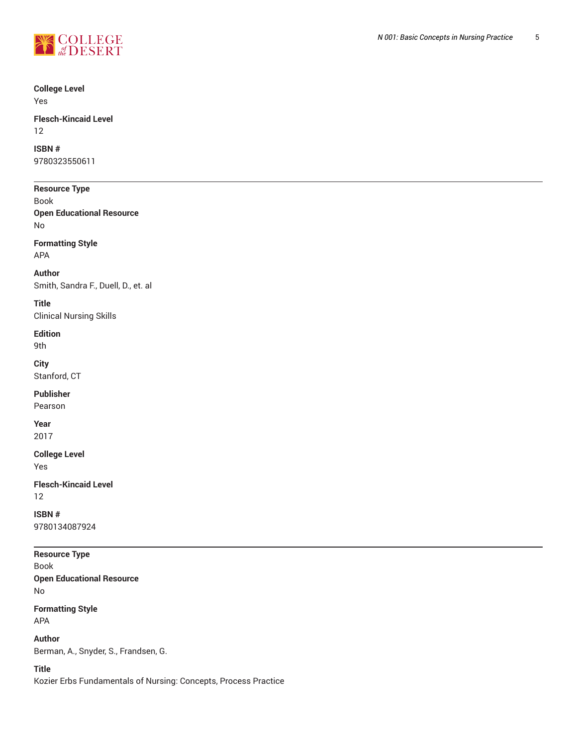

#### **College Level** Yes

**Flesch-Kincaid Level** 12

### **ISBN #**

9780323550611

#### **Resource Type**

Book **Open Educational Resource** No

## **Formatting Style**

APA

## **Author**

Smith, Sandra F., Duell, D., et. al

### **Title**

Clinical Nursing Skills

## **Edition**

9th

## **City**

Stanford, CT

## **Publisher**

Pearson

## **Year**

2017

## **College Level**

Yes

#### **Flesch-Kincaid Level** 12

**ISBN #** 9780134087924

#### **Resource Type**

Book **Open Educational Resource** No

#### **Formatting Style** APA

**Author** Berman, A., Snyder, S., Frandsen, G.

### **Title**

Kozier Erbs Fundamentals of Nursing: Concepts, Process Practice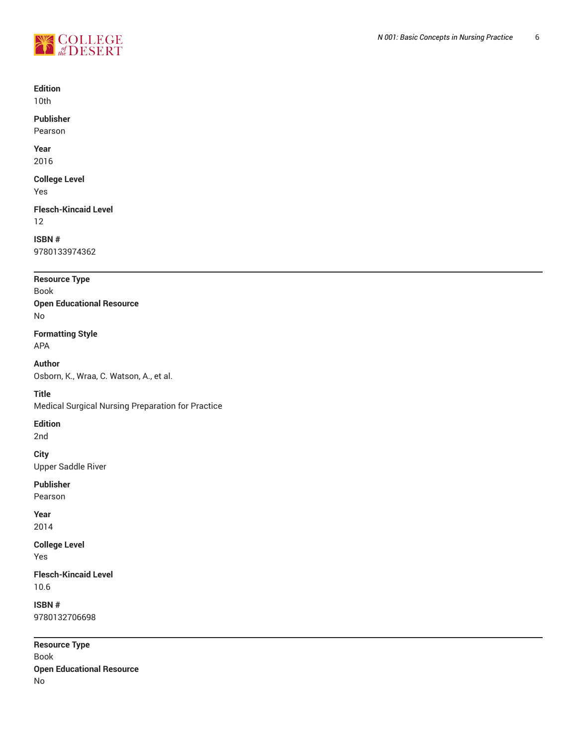

#### **Edition**

10th

#### **Publisher**

Pearson

## **Year**

2016

## **College Level**

Yes

#### **Flesch-Kincaid Level** 12

#### **ISBN #** 9780133974362

**Resource Type**

## Book

**Open Educational Resource** No

## **Formatting Style**

APA

## **Author**

Osborn, K., Wraa, C. Watson, A., et al.

## **Title**

Medical Surgical Nursing Preparation for Practice

#### **Edition**

2nd

## **City**

Upper Saddle River

### **Publisher**

Pearson

#### **Year** 2014

**College Level** Yes

#### **Flesch-Kincaid Level** 10.6

**ISBN #** 9780132706698

**Resource Type** Book **Open Educational Resource** No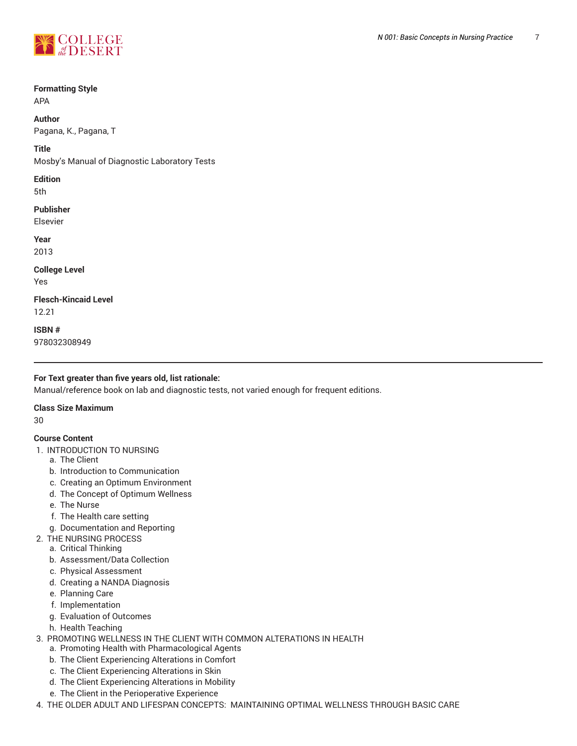

#### **Formatting Style**

APA

#### **Author**

Pagana, K., Pagana, T

#### **Title**

Mosby's Manual of Diagnostic Laboratory Tests

#### **Edition**

5th

#### **Publisher**

Elsevier

#### **Year**

2013

#### **College Level** Yes

**Flesch-Kincaid Level**

12.21

**ISBN #** 978032308949

#### **For Text greater than five years old, list rationale:**

Manual/reference book on lab and diagnostic tests, not varied enough for frequent editions.

#### **Class Size Maximum**

30

#### **Course Content**

- 1. INTRODUCTION TO NURSING
	- a. The Client
	- b. Introduction to Communication
	- c. Creating an Optimum Environment
	- d. The Concept of Optimum Wellness
	- e. The Nurse
	- f. The Health care setting
	- g. Documentation and Reporting
- 2. THE NURSING PROCESS
	- a. Critical Thinking
	- b. Assessment/Data Collection
	- c. Physical Assessment
	- d. Creating a NANDA Diagnosis
	- e. Planning Care
	- f. Implementation
	- g. Evaluation of Outcomes
	- h. Health Teaching
- 3. PROMOTING WELLNESS IN THE CLIENT WITH COMMON ALTERATIONS IN HEALTH
	- a. Promoting Health with Pharmacological Agents
	- b. The Client Experiencing Alterations in Comfort
	- c. The Client Experiencing Alterations in Skin
	- d. The Client Experiencing Alterations in Mobility
	- e. The Client in the Perioperative Experience
- 4. THE OLDER ADULT AND LIFESPAN CONCEPTS: MAINTAINING OPTIMAL WELLNESS THROUGH BASIC CARE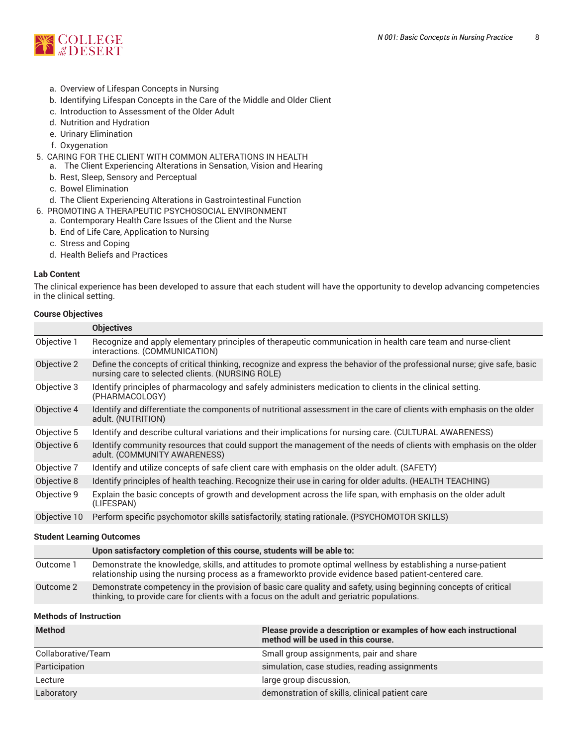

- a. Overview of Lifespan Concepts in Nursing
- b. Identifying Lifespan Concepts in the Care of the Middle and Older Client
- c. Introduction to Assessment of the Older Adult
- d. Nutrition and Hydration
- e. Urinary Elimination
- f. Oxygenation
- 5. CARING FOR THE CLIENT WITH COMMON ALTERATIONS IN HEALTH
	- a. The Client Experiencing Alterations in Sensation, Vision and Hearing
	- b. Rest, Sleep, Sensory and Perceptual
	- c. Bowel Elimination
	- d. The Client Experiencing Alterations in Gastrointestinal Function
- 6. PROMOTING A THERAPEUTIC PSYCHOSOCIAL ENVIRONMENT
	- a. Contemporary Health Care Issues of the Client and the Nurse
	- b. End of Life Care, Application to Nursing
	- c. Stress and Coping
	- d. Health Beliefs and Practices

#### **Lab Content**

The clinical experience has been developed to assure that each student will have the opportunity to develop advancing competencies in the clinical setting.

#### **Course Objectives**

|              | <b>Objectives</b>                                                                                                                                                            |
|--------------|------------------------------------------------------------------------------------------------------------------------------------------------------------------------------|
| Objective 1  | Recognize and apply elementary principles of therapeutic communication in health care team and nurse-client<br>interactions. (COMMUNICATION)                                 |
| Objective 2  | Define the concepts of critical thinking, recognize and express the behavior of the professional nurse; give safe, basic<br>nursing care to selected clients. (NURSING ROLE) |
| Objective 3  | Identify principles of pharmacology and safely administers medication to clients in the clinical setting.<br>(PHARMACOLOGY)                                                  |
| Objective 4  | Identify and differentiate the components of nutritional assessment in the care of clients with emphasis on the older<br>adult. (NUTRITION)                                  |
| Objective 5  | Identify and describe cultural variations and their implications for nursing care. (CULTURAL AWARENESS)                                                                      |
| Objective 6  | Identify community resources that could support the management of the needs of clients with emphasis on the older<br>adult. (COMMUNITY AWARENESS)                            |
| Objective 7  | Identify and utilize concepts of safe client care with emphasis on the older adult. (SAFETY)                                                                                 |
| Objective 8  | Identify principles of health teaching. Recognize their use in caring for older adults. (HEALTH TEACHING)                                                                    |
| Objective 9  | Explain the basic concepts of growth and development across the life span, with emphasis on the older adult<br>(LIFESPAN)                                                    |
| Objective 10 | Perform specific psychomotor skills satisfactorily, stating rationale. (PSYCHOMOTOR SKILLS)                                                                                  |
|              |                                                                                                                                                                              |

#### **Student Learning Outcomes**

|           | Upon satisfactory completion of this course, students will be able to:                                                                                                                                                 |
|-----------|------------------------------------------------------------------------------------------------------------------------------------------------------------------------------------------------------------------------|
| Outcome 1 | Demonstrate the knowledge, skills, and attitudes to promote optimal wellness by establishing a nurse-patient<br>relationship using the nursing process as a framework to provide evidence based patient-centered care. |
| Outcome 2 | Demonstrate competency in the provision of basic care quality and safety, using beginning concepts of critical<br>thinking, to provide care for clients with a focus on the adult and geriatric populations.           |

#### **Methods of Instruction**

| <b>Method</b>      | Please provide a description or examples of how each instructional<br>method will be used in this course. |
|--------------------|-----------------------------------------------------------------------------------------------------------|
| Collaborative/Team | Small group assignments, pair and share                                                                   |
| Participation      | simulation, case studies, reading assignments                                                             |
| Lecture            | large group discussion,                                                                                   |
| Laboratory         | demonstration of skills, clinical patient care                                                            |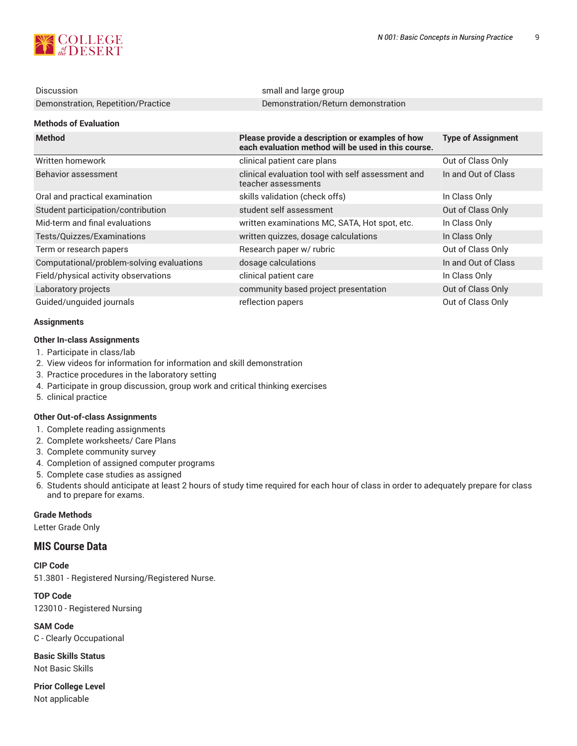

| Discussion                                | small and large group                                                                                  |                           |  |
|-------------------------------------------|--------------------------------------------------------------------------------------------------------|---------------------------|--|
| Demonstration, Repetition/Practice        | Demonstration/Return demonstration                                                                     |                           |  |
| <b>Methods of Evaluation</b>              |                                                                                                        |                           |  |
| <b>Method</b>                             | Please provide a description or examples of how<br>each evaluation method will be used in this course. | <b>Type of Assignment</b> |  |
| Written homework                          | clinical patient care plans                                                                            | Out of Class Only         |  |
| <b>Behavior assessment</b>                | clinical evaluation tool with self assessment and<br>teacher assessments                               | In and Out of Class       |  |
| Oral and practical examination            | skills validation (check offs)                                                                         | In Class Only             |  |
| Student participation/contribution        | student self assessment                                                                                | Out of Class Only         |  |
| Mid-term and final evaluations            | written examinations MC, SATA, Hot spot, etc.                                                          | In Class Only             |  |
| Tests/Quizzes/Examinations                | written quizzes, dosage calculations                                                                   | In Class Only             |  |
| Term or research papers                   | Research paper w/ rubric                                                                               | Out of Class Only         |  |
| Computational/problem-solving evaluations | dosage calculations                                                                                    | In and Out of Class       |  |
| Field/physical activity observations      | clinical patient care                                                                                  | In Class Only             |  |
| Laboratory projects                       | community based project presentation                                                                   | Out of Class Only         |  |
| Guided/unguided journals                  | reflection papers                                                                                      | Out of Class Only         |  |
|                                           |                                                                                                        |                           |  |

#### **Assignments**

#### **Other In-class Assignments**

- 1. Participate in class/lab
- 2. View videos for information for information and skill demonstration
- 3. Practice procedures in the laboratory setting
- 4. Participate in group discussion, group work and critical thinking exercises
- 5. clinical practice

#### **Other Out-of-class Assignments**

- 1. Complete reading assignments
- 2. Complete worksheets/ Care Plans
- 3. Complete community survey
- 4. Completion of assigned computer programs
- 5. Complete case studies as assigned
- 6. Students should anticipate at least 2 hours of study time required for each hour of class in order to adequately prepare for class and to prepare for exams.

#### **Grade Methods**

Letter Grade Only

### **MIS Course Data**

**CIP Code** 51.3801 - Registered Nursing/Registered Nurse.

**TOP Code** 123010 - Registered Nursing

**SAM Code** C - Clearly Occupational

**Basic Skills Status** Not Basic Skills

**Prior College Level** Not applicable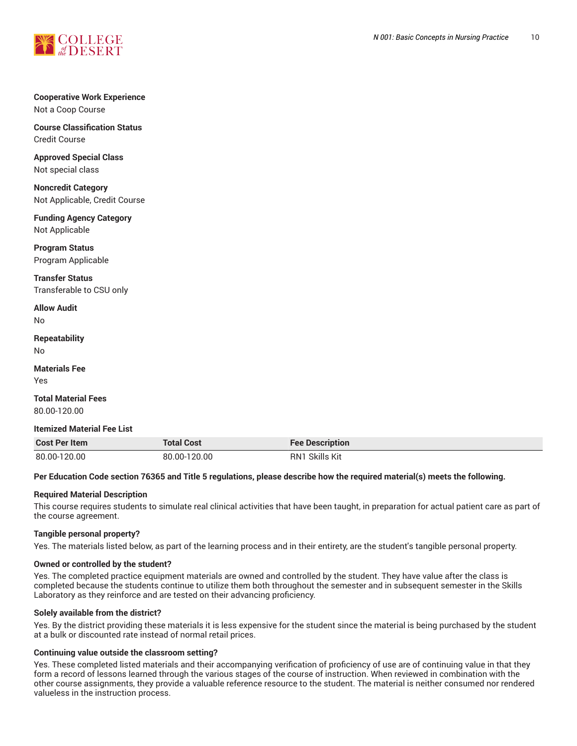

#### **Cooperative Work Experience**

Not a Coop Course

#### **Course Classification Status** Credit Course

**Approved Special Class** Not special class

**Noncredit Category** Not Applicable, Credit Course

**Funding Agency Category** Not Applicable

**Program Status** Program Applicable

**Transfer Status** Transferable to CSU only

**Allow Audit** No

**Repeatability**

No

**Materials Fee** Yes

**Total Material Fees** 80.00-120.00

**Itemized Material Fee List**

| <b>Cost Per Item</b> | <b>Total Cost</b> | <b>Fee Description</b> |
|----------------------|-------------------|------------------------|
| 80.00-120.00         | 80.00-120.00      | <b>RN1 Skills Kit</b>  |

#### Per Education Code section 76365 and Title 5 regulations, please describe how the required material(s) meets the following.

#### **Required Material Description**

This course requires students to simulate real clinical activities that have been taught, in preparation for actual patient care as part of the course agreement.

#### **Tangible personal property?**

Yes. The materials listed below, as part of the learning process and in their entirety, are the student's tangible personal property.

#### **Owned or controlled by the student?**

Yes. The completed practice equipment materials are owned and controlled by the student. They have value after the class is completed because the students continue to utilize them both throughout the semester and in subsequent semester in the Skills Laboratory as they reinforce and are tested on their advancing proficiency.

#### **Solely available from the district?**

Yes. By the district providing these materials it is less expensive for the student since the material is being purchased by the student at a bulk or discounted rate instead of normal retail prices.

#### **Continuing value outside the classroom setting?**

Yes. These completed listed materials and their accompanying verification of proficiency of use are of continuing value in that they form a record of lessons learned through the various stages of the course of instruction. When reviewed in combination with the other course assignments, they provide a valuable reference resource to the student. The material is neither consumed nor rendered valueless in the instruction process.